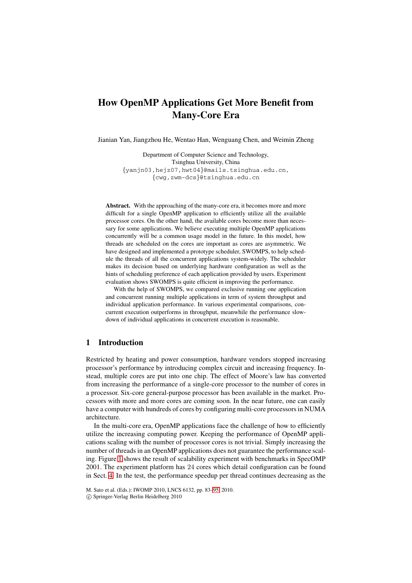# **How OpenMP Applications Get More Benefit from Many-Core Era**

Jianian Yan, Jiangzhou He, Wentao Han, Wenguang Chen, and Weimin Zheng

Department of Computer Science and Technology, Tsinghua University, China *{*yanjn03,hejz07,hwt04*}*@mails.tsinghua.edu.cn, *{*cwg,zwm-dcs*}*@tsinghua.edu.cn

**Abstract.** With the approaching of the many-core era, it becomes more and more difficult for a single OpenMP application to efficiently utilize all the available processor cores. On the other hand, the available cores become more than necessary for some applications. We believe executing multiple OpenMP applications concurrently will be a common usage model in the future. In this model, how threads are scheduled on the cores are important as cores are asymmetric. We have designed and implemented a prototype scheduler, SWOMPS, to help schedule the threads of all the concurrent applications system-widely. The scheduler makes its decision based on underlying hardware configuration as well as the hints of scheduling preference of each application provided by users. Experiment evaluation shows SWOMPS is quite efficient in improving the performance.

With the help of SWOMPS, we compared exclusive running one application and concurrent running multiple applications in term of system throughput and individual application performance. In various experimental comparisons, concurrent execution outperforms in throughput, meanwhile the performance slowdown of individual applications in concurrent execution is reasonable.

# **1 Introduction**

Restricted by heating and power consumption, hardware vendors stopped increasing processor's performance by introducing complex circuit and increasing frequency. Instead, multiple cores are put into one chip. The effect of Moore's law has converted from increasing the performance of a single-core processor to the number of cores in a processor. Six-core general-purpose processor has been available in the market. Processors with more and more cores are coming soon. In the near future, one can easily have a computer with hundreds of cores by configuring multi-core processors in NUMA architecture.

In the multi-core era, OpenMP applications face the challenge of how to efficiently utilize the increasing computing power. Keeping the performance of OpenMP applications scaling with the number of processor cores is not trivial. Simply increasing the number of threads in an OpenMP applications does not guarantee the performance scaling. Figure 1 shows the result of scalability experiment with benchmarks in SpecOMP 2001. The experiment platform has 24 cores which detail configuration can be found in Sect. 4. In the test, the performance speedup per thread continues decreasing as the

M. Sato et al. [\(Ed](#page-1-0)s.): IWOMP 2010, LNCS 6132, pp. 83–95, 2010.

<sup>-</sup>c Springer-Verlag Berlin Heidelberg 2010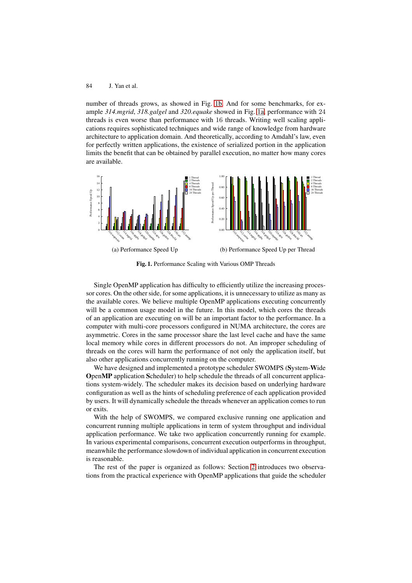number of threads grows, as showed in Fig. 1b. And for some benchmarks, for example *314.mgrid*, *318.galgel* and *320.equake* showed in Fig. 1a, performance with 24 threads is even worse than performance with 16 threads. Writing well scaling applications requires sophisticated techniques and wide range of knowledge from hardware architecture to application domain. And theor[etica](#page-1-1)lly, according to Amdahl's law, even for perfectly written applications, the existence of serialized [por](#page-1-2)tion in the application limits the benefit that can be obtained by parallel execution, no matter how many cores are available.

<span id="page-1-2"></span><span id="page-1-0"></span>

<span id="page-1-1"></span>**Fig. 1.** Performance Scaling with Various OMP Threads

Single OpenMP application has difficulty to efficiently utilize the increasing processor cores. On the other side, for some applications, it is unnecessary to utilize as many as the available cores. We believe multiple OpenMP applications executing concurrently will be a common usage model in the future. In this model, which cores the threads of an application are executing on will be an important factor to the performance. In a computer with multi-core processors configured in NUMA architecture, the cores are asymmetric. Cores in the same processor share the last level cache and have the same local memory while cores in different processors do not. An improper scheduling of threads on the cores will harm the performance of not only the application itself, but also other applications concurrently running on the computer.

We have designed and implemented a prototype scheduler SWOMPS (**S**ystem-**W**ide **O**pen**MP** application **S**cheduler) to help schedule the threads of all concurrent applications system-widely. The scheduler makes its decision based on underlying hardware configuration as well as the hints of scheduling preference of each application provided by users. It will dynamically schedule the threads whenever an application comes to run or exits.

With the help of SWOMPS, we compared exclusive running one application and concurrent running multiple applications in term of system throughput and individual application performance. We take two application concurrently running for example. In various experimental comparisons, concurrent execution outperforms in throughput, meanwhile the performance slowdown of individual application in concurrent execution is reasonable.

The rest of the paper is organized as follows: Section 2 introduces two observations from the practical experience with OpenMP applications that guide the scheduler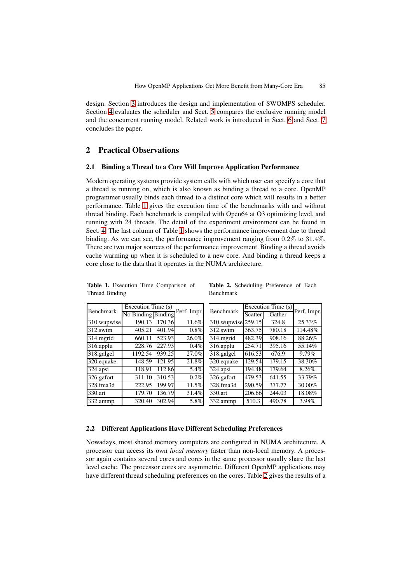design. Section 3 introduces the design and implementation of SWOMPS scheduler. Section 4 evaluates the scheduler and Sect. 5 compares the exclusive running model and the concurrent running model. Related work is introduced in Sect. 6 and Sect. 7 concludes the paper.

# **2 Pr[ac](#page-6-0)tical Observations**

## **2.1 Binding a Thread to a Core Will Improve Application Performance**

<span id="page-2-1"></span>Modern operating systems provide system calls with which user can specify a core that a thread is running on, which is also known as binding a thread to a core. OpenMP programmer usually binds each thread to a distinct core which will results in a better performance. Table 1 gives the execution time of the benchmarks with and without thread binding. Each benchmark is compiled with Open64 at O3 optimizing level, and running with 24 threads. The detail of the experiment environment can be found in Sect. 4. The last column of Table 1 shows the performance improvement due to thread binding. As we can [se](#page-2-0)e, the performance improvement ranging from 0*.*2% to 31*.*4%. There are two major sources of the performance improvement. Binding a thread avoids cache warming up when it is scheduled to a new core. And binding a thread keeps a core [clo](#page-6-0)se to the data that it oper[ate](#page-2-0)s in the NUMA architecture.

| THE CAU DIRECTION |                    |        |             | ווטע |
|-------------------|--------------------|--------|-------------|------|
| Benchmark         | Execution Time (s) |        |             |      |
|                   | No Binding Binding |        | Perf. Impr. | Ber  |
| 310.wupwise       | 190.13             | 170.36 | 11.6%       | 310  |
| 312.swim          | 405.21             | 401.94 | $0.8\%$     | 312  |
| $314$ .mgrid      | 660.11             | 523.93 | 26.0%       | 314  |
| 316.applu         | 228.76             | 227.93 | 0.4%        | 316  |
| 318.galgel        | 1192.54            | 939.25 | 27.0%       | 318  |

**Table 1.** Execution Time Comparison of Thread Binding

|           | Table 2. Scheduling Preference of Each |  |  |
|-----------|----------------------------------------|--|--|
| Benchmark |                                        |  |  |

<span id="page-2-0"></span>

| Benchmark   | Execution Time (s) |        |             |                    |         | Execution Time (s) |             |  |
|-------------|--------------------|--------|-------------|--------------------|---------|--------------------|-------------|--|
|             | No Binding Binding |        | Perf. Impr. | <b>Benchmark</b>   | Scatter | Gather             | Perf. Impr. |  |
| 310.wupwise | 190.13             | 170.36 | 11.6%       | 310.wupwise 259.15 |         | 324.8              | 25.33%      |  |
| 312.swim    | 405.21             | 401.94 | $0.8\%$     | $312$ .swim        | 363.75  | 780.18             | 114.48%     |  |
| 314.mgrid   | 660.11             | 523.93 | 26.0%       | 314.mgrid          | 482.39  | 908.16             | 88.26%      |  |
| 316.applu   | 228.76             | 227.93 | $0.4\%$     | $316$ .applu       | 254.71  | 395.16             | 55.14%      |  |
| 318.galgel  | 1192.541           | 939.25 | 27.0%       | 318.galgel         | 616.53  | 676.9              | 9.79%       |  |
| 320.equake  | 148.59             | 121.95 | 21.8%       | 320.equake         | 129.54  | 179.15             | 38.30%      |  |
| 324.apsi    | 118.91             | 112.86 | 5.4%        | $324$ .apsi        | 194.48  | 179.64             | 8.26%       |  |
| 326.gafort  | 311.10             | 310.53 | 0.2%        | 326.gafort         | 479.53  | 641.55             | 33.79%      |  |
| 328.fma3d   | 222.95             | 199.97 | 11.5%       | 328.fma3d          | 290.59  | 377.77             | 30.00%      |  |
| 330.art     | 179.70             | 136.79 | 31.4%       | 330.art            | 206.66  | 244.03             | 18.08%      |  |
| 332.ammp    | 320.40             | 302.94 | 5.8%        | $332$ .ammp        | 510.3   | 490.78             | 3.98%       |  |

### **2.2 Different Applications Have Different Scheduling Preferences**

Nowadays, most shared memory computers are configured in NUMA architecture. A processor can access its own *local memory* faster than non-local memory. A processor again contains several cores and cores in the same processor usually share the last level cache. The processor cores are asymmetric. Different OpenMP applications may have different thread scheduling preferences on the cores. Table 2 gives the results of a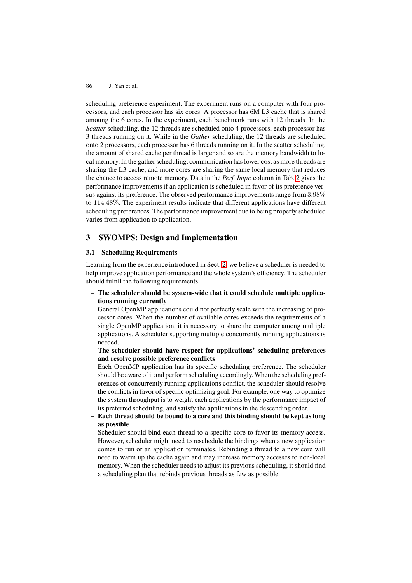scheduling preference experiment. The experiment runs on a computer with four processors, and each processor has six cores. A processor has 6M L3 cache that is shared amoung the 6 cores. In the experiment, each benchmark runs with 12 threads. In the *Scatter* scheduling, the 12 threads are scheduled onto 4 processors, each processor has 3 threads running on it. While in the *Gather* scheduling, the 12 threads are scheduled onto 2 processors, each processor has 6 threads running on it. In the scatter scheduling, the amount of shared cache per thread is larger and so are the memory bandwidth to local memory. In the gather scheduling, communication has lower cost as more threads are sharing the L3 cache, and more cores are sharing the same local memory that reduces the chance to access remote memory. Data in the *Perf. Impr.* column in Tab. 2 gives the performance improvements if an application is scheduled in favor of its preference versus against its preference. The observed performance improvements range from 3*.*98% to 114*.*48%. The experiment results indicate that different applications have different scheduling preferences. The performance improvement due to being properl[y s](#page-2-0)cheduled varies from application to application.

# **3 SWOMPS: Design and Implementation**

## **3.1 Scheduling Requirements**

Learning from the experience introduced in Sect. 2, we believe a scheduler is needed to help improve application performance and the whole system's efficiency. The scheduler should fulfill the following requirements:

**– The scheduler should be system-wide tha[t](#page-2-1) [it](#page-2-1) could schedule multiple applications running currently**

General OpenMP applications could not perfectly scale with the increasing of processor cores. When the number of available cores exceeds the requirements of a single OpenMP application, it is necessary to share the computer among multiple applications. A scheduler supporting multiple concurrently running applications is needed.

**– The scheduler should have respect for applications' scheduling preferences and resolve possible preference conflicts**

Each OpenMP application has its specific scheduling preference. The scheduler should be aware of it and perform scheduling accordingly. When the scheduling preferences of concurrently running applications conflict, the scheduler should resolve the conflicts in favor of specific optimizing goal. For example, one way to optimize the system throughput is to weight each applications by the performance impact of its preferred scheduling, and satisfy the applications in the descending order.

**– Each thread should be bound to a core and this binding should be kept as long as possible**

Scheduler should bind each thread to a specific core to favor its memory access. However, scheduler might need to reschedule the bindings when a new application comes to run or an application terminates. Rebinding a thread to a new core will need to warm up the cache again and may increase memory accesses to non-local memory. When the scheduler needs to adjust its previous scheduling, it should find a scheduling plan that rebinds previous threads as few as possible.

<sup>86</sup> J. Yan et al.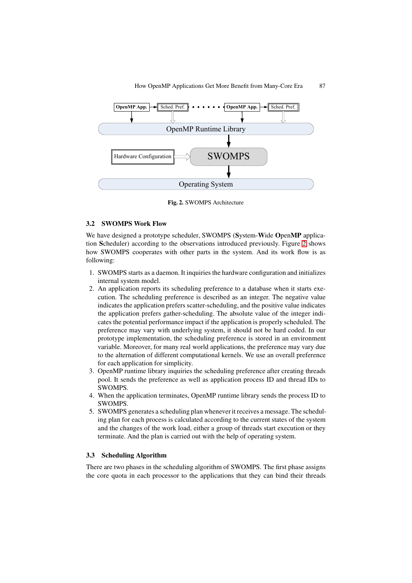<span id="page-4-0"></span>

**Fig. 2.** SWOMPS Architecture

### **3.2 SWOMPS Work Flow**

We have designed a prototype scheduler, SWOMPS (**S**ystem-**W**ide **O**pen**MP** application **S**cheduler) according to the observations introduced previously. Figure 2 shows how SWOMPS cooperates with other parts in the system. And its work flow is as following:

- 1. SWOMPS starts as a daemon. It inquiriesthe hardware configuration and i[nit](#page-4-0)ializes internal system model.
- 2. An application reports its scheduling preference to a database when it starts execution. The scheduling preference is described as an integer. The negative value indicates the application prefers scatter-scheduling, and the positive value indicates the application prefers gather-scheduling. The absolute value of the integer indicates the potential performance impact if the application is properly scheduled. The preference may vary with underlying system, it should not be hard coded. In our prototype implementation, the scheduling preference is stored in an environment variable. Moreover, for many real world applications, the preference may vary due to the alternation of different computational kernels. We use an overall preference for each application for simplicity.
- 3. OpenMP runtime library inquiries the scheduling preference after creating threads pool. It sends the preference as well as application process ID and thread IDs to SWOMPS.
- 4. When the application terminates, OpenMP runtime library sends the process ID to SWOMPS.
- 5. SWOMPS generates a scheduling plan whenever it receives a message. The scheduling plan for each process is calculated according to the current states of the system and the changes of the work load, either a group of threads start execution or they terminate. And the plan is carried out with the help of operating system.

### **3.3 Scheduling Algorithm**

There are two phases in the scheduling algorithm of SWOMPS. The first phase assigns the core quota in each processor to the applications that they can bind their threads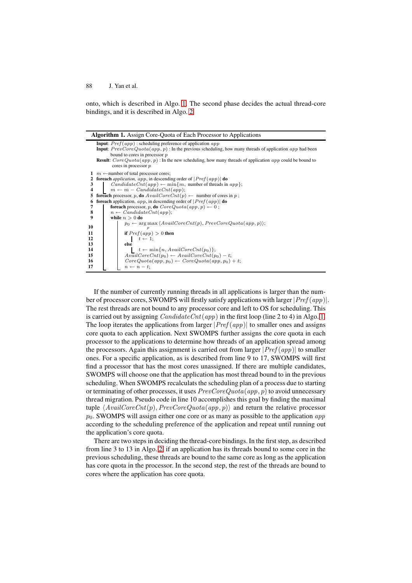onto, which is described in Algo. 1. The second phase decides the actual thread-core bindings, and it is described in Algo. 2.

#### <span id="page-5-0"></span>**Algorithm 1.** Assign Core-Quota o[f E](#page-5-0)ach Processor to Applications **Input**: *Pref* (*app*) : scheduling preference of [app](#page-6-1)lication *app* **Input**: *PrevCoreQuota*(*app, p*) : In the previous scheduling, how many threads of application *app* had been bound to cores in processor *p* **Result**: *CoreQuota*(*app, p*) : In the new scheduling, how many threads of application *app* could be bound to cores in processor *p* **1**  $m \leftarrow$ number of total processor cores; **2 foreach** *application,*  $app$ , in descending order of  $|Pref(ap)|$  **do**<br>**3**  $|$  *Candidate*  $Cnt(ap) \leftarrow min\{m$ , number of threads in **3** *CandidateCnt*(*app*) ← min{*m*, number of threads in *app*};<br> **4** *m* ← *m* – *CandidateCnt*(*ann*): **4**  $m \leftarrow m - CandidateCnt(app);$ <br>**5 foreach** processor, *n*, **do**  $AvailableCnt(np)$ ; **5 foreach** processor, *p*, **do**  $AvailableTreeCnt(p) \leftarrow$  number of cores in *p* ;<br>**6 foreach** application, *app*, in descending order of  $|Pref(app)|$  **do <sup>6</sup> foreach** application, *app*, in descending order of <sup>|</sup>*Pref* (*app*)<sup>|</sup> **do 7 foreach** processor, *p*, **do**  $CoreQuota(ap, p) \leftarrow 0;$ <br>**8**  $n \leftarrow CandidateCnt(ann)$ : **8** *n* ← *CandidateCnt*(*app*);<br>**9 while** *n* > 0 **do 9 while**  $n > 0$  **do**<br>**10 b**  $p_0 \leftarrow \text{ar}$ 10  $p_0 \leftarrow \arg \max_{p} \langle AvailableOreCnt(p), PrevCoreQuota(app, p) \rangle;$ **11 if**  $Pref(app) > 0$  **then**<br>**12 i**  $t \leftarrow 1$ : **12 d l t** ← 1;<br>**13 else 13 else 14**  $t \leftarrow min\{n, AvailableoreCnt(p_0)\};$ <br>**15**  $AvailableoreCnt(p_0) \leftarrow AvailableoreCnt(p_0)$ **15**  $A\text{value} \qquad \text{Area} \cdot \text{Area} \cdot \text{Area} \cdot \text{Area} \cdot \text{Area} \cdot \text{Area} \cdot \text{Area} \cdot \text{Area} \cdot \text{Area} \cdot \text{Area} \cdot \text{Area} \cdot \text{Area} \cdot \text{Area} \cdot \text{Area} \cdot \text{Area} \cdot \text{Area} \cdot \text{Area} \cdot \text{Area} \cdot \text{Area} \cdot \text{Area} \cdot \text{Area} \cdot \text{Area} \cdot \text{Area} \cdot \text{Area} \cdot \text{Area} \cdot \text{Area} \cdot \text{Area} \cdot \text{Area} \cdot \text{Area} \cdot \text{$ **16**  $\qquad \qquad \text{CoreQuota}(app, p_0) \leftarrow \text{CoreQuota}(app, p_0) + t;$ <br> **17**  $\qquad \qquad n \leftarrow n - t;$  $n \leftarrow n - t$ ;

If the number of currently running threads in all applications is larger than the number of processor cores, SWOMPS will firstly satisfy applications with larger <sup>|</sup>*Pref* (*app*)|. The rest threads are not bound to any processor core and left to OS for scheduling. This is carried out by assigning *CandidateCnt*(*app*) in the first loop (line 2 to 4) in Algo. 1. The loop iterates the applications from larger <sup>|</sup>*Pref* (*app*)<sup>|</sup> to smaller ones and assigns core quota to each application. Next SWOMPS further assigns the core quota in each processor to the applications to determine how threads of an application spread among the processors. Again this assignment is carried out from larger <sup>|</sup>*Pref* (*app*)<sup>|</sup> to smal[ler](#page-5-0) ones. For a specific application, as is described from line 9 to 17, SWOMPS will first find a processor that has the most cores unassigned. If there are multiple candidates, SWOMPS will choose one that the application has most thread bound to in the previous scheduling. When SWOMPS recalculats the scheduling plan of a process due to starting or terminating of other processes, it uses *PrevCoreQuota*(*app, p*) to avoid unnecessary thread migration. Pseudo code in line 10 accomplishes this goal by finding the maximal  $\tanh \langle \text{Available (}A \text{ } \text{validCore}(n t(p), \text{ } \text{PrevCoreQuota}(\text{ }app, p) \rangle \text{ and return the relative processor.} \rangle$ *<sup>p</sup>*0. SWOMPS will assign either one core or as many as possible to the application *app* according to the scheduling preference of the application and repeat until running out the application's core quota.

There are two steps in deciding the thread-core bindings. In the first step, as described from line 3 to 13 in Algo. 2, if an application has its threads bound to some core in the previous scheduling, these threads are bound to the same core as long as the application has core quota in the processor. In the second step, the rest of the threads are bound to cores where the application has core quota.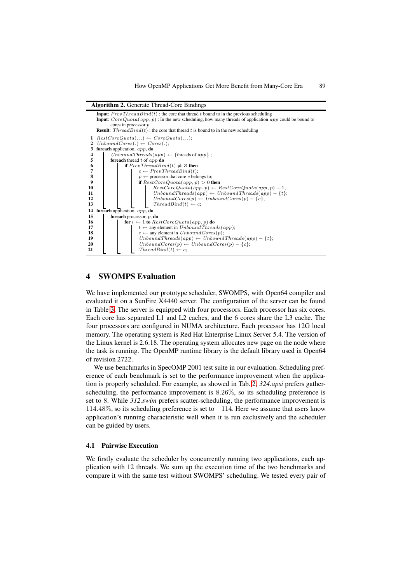<span id="page-6-1"></span>

# **4 SWOMPS Evaluation**

<span id="page-6-0"></span>We have implemented our prototype scheduler, SWOMPS, with Open64 compiler and evaluated it on a SunFire X4440 server. The configuration of the server can be found in Table 3. The server is equipped with four processors. Each processor has six cores. Each core has separated L1 and L2 caches, and the 6 cores share the L3 cache. The four processors are configured in NUMA architecture. Each processor has 12G local memory. The operating system is Red Hat Enterprise Linux Server 5.4. The version of the Linu[x k](#page-7-0)ernel is 2.6.18. The operating system allocates new page on the node where the task is running. The OpenMP runtime library is the default library used in Open64 of revision 2722.

We use benchmarks in SpecOMP 2001 test suite in our evaluation. Scheduling preference of each benchmark is set to the performance improvement when the application is properly scheduled. For example, as showed in Tab. 2, *324.apsi* prefers gatherscheduling, the performance improvement is 8*.*26%, so its scheduling preference is set to 8. While *312.swim* prefers scatter-scheduling, the performance improvement is  $114.48\%$ , so its scheduling preference is set to  $-114$ . Here we assume that users know application's running characteristic well when it is run ex[clu](#page-2-0)sively and the scheduler can be guided by users.

### **4.1 Pairwise Execution**

We firstly evaluate the scheduler by concurrently running two applications, each application with 12 threads. We sum up the execution time of the two benchmarks and compare it with the same test without SWOMPS' scheduling. We tested every pair of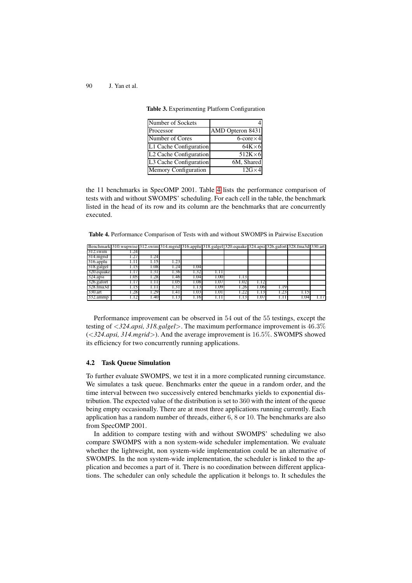<span id="page-7-0"></span>

| Number of Sockets                  |                      |
|------------------------------------|----------------------|
| Processor                          | AMD Opteron 8431     |
| Number of Cores                    | $6$ -core $\times$ 4 |
| L1 Cache Configuration             | $64K\times6$         |
| L <sub>2</sub> Cache Configuration | $512K\times6$        |
| L3 Cache Configuration             | 6M, Shared           |
| Memory Configuration               | $12G \times 4$       |

**Table 3.** Experimenting Platform Configuration

the 11 benchmarks in SpecOMP 2001. Table 4 lists the performance comparison of tests with and without SWOMPS' scheduling. For each cell in the table, the benchmark listed in the head of its row and its column are the benchmarks that are concurrently executed.

**Table 4.** Performance Comparison of Tests with and without SWOMPS in Pairwise Execution

|              | Benchmark 310. wupwise 312. swim 314. mgrid 316. applu 318. galgel 320. equal e 324. apsi 326. gafort 328. fma3d 330. art |          |      |      |      |      |      |      |      |      |
|--------------|---------------------------------------------------------------------------------------------------------------------------|----------|------|------|------|------|------|------|------|------|
| $312$ .swim  | .24                                                                                                                       |          |      |      |      |      |      |      |      |      |
| 314.mgrid    | 1.27                                                                                                                      | .24      |      |      |      |      |      |      |      |      |
| $316$ .applu | 1.11                                                                                                                      | $.15$ F  | 1.23 |      |      |      |      |      |      |      |
| 318.galgel   | 1.15                                                                                                                      | .081     | .24  | 1.04 |      |      |      |      |      |      |
| 320.equake   | 1.17                                                                                                                      | $1.3\Pi$ | . 36 | 1.32 | 1.11 |      |      |      |      |      |
| 324.apsi     | 1.05                                                                                                                      | .28      | .46  | 1.04 | 1.00 | 1.13 |      |      |      |      |
| 326.gafort   | 1.17                                                                                                                      |          | 1.05 | 1.08 | 1.07 | 1.02 | 1.12 |      |      |      |
| 328.fma3d    | 1.15                                                                                                                      |          | 1.31 | 13   | .091 | .26  | 1.06 | 1.19 |      |      |
| 330.art      | 1.28                                                                                                                      | .29      | 1.41 | 1.03 | 1.01 | 1.22 | 1.13 | 1.23 | 1.15 |      |
| $332$ .ammp  | 1.12                                                                                                                      | .40      | 1.13 | 1.16 | 1.11 | 1.13 | 1.07 |      | 1.04 | 1.17 |

Performance improvement can be observed in 54 out of the 55 testings, except the testing of *<324.apsi, 318.galgel>*. The maximum performance improvement is 46*.*3% (*<324.apsi, 314.mgrid>*). And the average improvement is 16*.*5%. SWOMPS showed its efficiency for two concurrently running applications.

### **4.2 Task Queue Simulation**

To further evaluate SWOMPS, we test it in a more complicated running circumstance. We simulates a task queue. Benchmarks enter the queue in a random order, and the time interval between two successively entered benchmarks yields to exponential distribution. The expected value of the distribution is set to 360 with the intent of the queue being empty occasionally. There are at most three applications running currently. Each application has a random number of threads, either 6, 8 or 10. The benchmarks are also from SpecOMP 2001.

In addition to compare testing with and without SWOMPS' scheduling we also compare SWOMPS with a non system-wide scheduler implementation. We evaluate whether the lightweight, non system-wide implementation could be an alternative of SWOMPS. In the non system-wide implementation, the scheduler is linked to the application and becomes a part of it. There is no coordination between different applications. The scheduler can only schedule the application it belongs to. It schedules the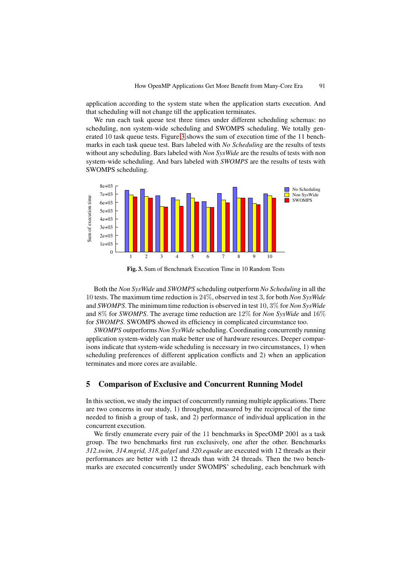application according to the system state when the application starts execution. And that scheduling will not change till the application terminates.

We run each task queue test three times under different scheduling schemas: no scheduling, non system-wide scheduling and SWOMPS scheduling. We totally generated 10 task queue tests. Figure 3 shows the sum of execution time of the 11 benchmarks in each task queue test. Bars labeled with *No Scheduling* are the results of tests without any scheduling. Bars labeled with *Non SysWide* are the results of tests with non system-wide scheduling. And bars labeled with *SWOMPS* are the results of tests with SWOMPS scheduling.



**Fig. 3.** Sum of Benchmark Execution Time in 10 Random Tests

Both the *Non SysWide* and *SWOMPS* scheduling outperform *No Scheduling* in all the 10 tests. The maximum time reduction is 24%, observed in test 3, for both *Non SysWide* and *SWOMPS*. The minimum time reduction is observed in test 10, 3% for *Non SysWide* and 8% for *SWOMPS*. The average time reduction are 12% for *Non SysWide* and 16% for *SWOMPS*. SWOMPS showed its efficiency in complicated circumstance too.

*SWOMPS* outperforms *Non SysWide* scheduling. Coordinating concurrently running application system-widely can make better use of hardware resources. Deeper comparisons indicate that system-wide scheduling is necessary in two circumstances, 1) when scheduling preferences of different application conflicts and 2) when an application terminates and more cores are available.

# **5 Comparison of Exclusive and Concurrent Running Model**

In this section, we study the impact of concurrently running multiple applications. There are two concerns in our study, 1) throughput, measured by the reciprocal of the time needed to finish a group of task, and 2) performance of individual application in the concurrent execution.

We firstly enumerate every pair of the 11 benchmarks in SpecOMP 2001 as a task group. The two benchmarks first run exclusively, one after the other. Benchmarks *312.swim, 314.mgrid, 318.galgel* and *320.equake* are executed with 12 threads as their performances are better with 12 threads than with 24 threads. Then the two benchmarks are executed concurrently under SWOMPS' scheduling, each benchmark with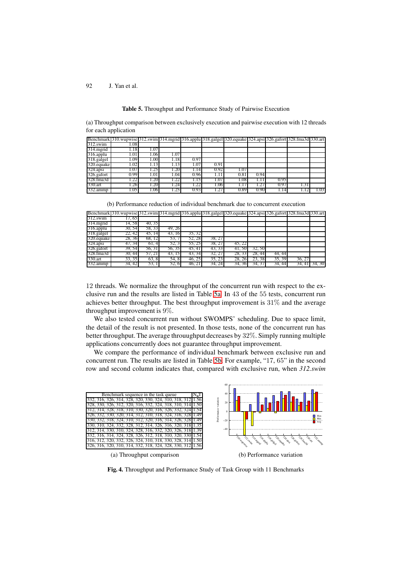#### **Table 5.** Throughput and Performance Study of Pairwise Execution

(a) Throughput comparison between exclusively execution and pairwise execution with 12 threads for each application

<span id="page-9-0"></span>

|              | Benchmark 310. wupwise 312. swim 314. mgrid 316. applu 318. galgel 320. equal et 324. apsi 326. gafort 328. fma3d 330. art |               |                     |      |      |      |      |       |      |      |
|--------------|----------------------------------------------------------------------------------------------------------------------------|---------------|---------------------|------|------|------|------|-------|------|------|
| $312$ .swim  | 1.08                                                                                                                       |               |                     |      |      |      |      |       |      |      |
| $314$ .mgrid | 1.18                                                                                                                       | 1.07          |                     |      |      |      |      |       |      |      |
| $316$ .applu | 1.01                                                                                                                       | 1.06          | 1.07                |      |      |      |      |       |      |      |
| 318.galgel   | 1.09                                                                                                                       | 1.00          | 1.18                | 0.97 |      |      |      |       |      |      |
| 320.equake   | 1.02                                                                                                                       | 1.13          | $1.13$ <sup>T</sup> | . 07 | 0.91 |      |      |       |      |      |
| 324.apsi     | 1.07                                                                                                                       | $.25^{\circ}$ | .201                | 1.14 | 0.92 | 1.07 |      |       |      |      |
| 326.gafort   | 0.99                                                                                                                       | 1.01          | 1.04                | 0.96 | 1.11 | 0.81 | 0.94 |       |      |      |
| 328.fma3d    | 1.22                                                                                                                       | .20           | 1.22                | I.I5 | 1.07 | 1.08 | 1.11 | 0.95  |      |      |
| 330.art      | .26                                                                                                                        | .201          | 1.24                | .22  | .06  | 1.17 | 1.27 | 0.97  | 1.31 |      |
| $332$ .ammp  | 1.05                                                                                                                       | 1.061         | .25                 | 0.93 | .27  | 0.89 | 0.90 | 1.14- |      | 1.03 |

(b) Performance reduction of individual benchmark due to concurrent execution

<span id="page-9-1"></span>

|              | Benchmark 310.wupwise 312.swim 314.mgrid 316.applu 318.galgel 320.equake 324.apsi 326.gafort 328.fma3d 330.art |        |        |       |        |        |        |        |          |       |
|--------------|----------------------------------------------------------------------------------------------------------------|--------|--------|-------|--------|--------|--------|--------|----------|-------|
| $312$ .swim  | 17, 65                                                                                                         |        |        |       |        |        |        |        |          |       |
| $314$ .mgrid | 14. 58                                                                                                         | 40.35  |        |       |        |        |        |        |          |       |
| $316$ .applu | 30, 54                                                                                                         | 58, 33 | 49.26  |       |        |        |        |        |          |       |
| 318.galgel   | 22, 42                                                                                                         | 45, 14 | 43.16  | 35.32 |        |        |        |        |          |       |
| 320.equake   | 28, 36                                                                                                         | 68, 12 | 53, 7  | 52.28 | 38.27  |        |        |        |          |       |
| 324.apsi     | 47.34                                                                                                          | 61.4   | 52.3   | 55.25 | 38.27  | 45.22  |        |        |          |       |
| 326.gafort   | 39, 54                                                                                                         | 56.31  | 56, 35 | 45.41 | 43, 33 | 41, 50 | 32.50  |        |          |       |
| 328.fma3d    | 30.44                                                                                                          | 57, 21 | 43, 15 | 43.34 | 32, 27 | 28, 33 | 28, 44 | 44.44  |          |       |
| 330.art      | 33, 35                                                                                                         | 63.8   | 54, 8  | 46.25 | 35, 23 | 28, 26 | 23, 38 | 35, 39 | 36, 27   |       |
| $332$ .ammp  | 34, 42                                                                                                         | 53, 1  | 52, 6  | 46.21 | 34, 24 | 34, 36 | 34, 37 | 34, 44 | 34. 41 I | 34.30 |

12 threads. We normalize the throughput of the concurrent run with respect to the exclusive run and the results are listed in Table 5a. In 43 of the 55 tests, concurrent run achieves better throughput. The best throughput improvement is 31% and the average throughput improvement is 9%.

We also tested concurrent run without SWOMPS' scheduling. Due to space limit, the detail of the result is not presented. In th[ose](#page-9-0) tests, none of the concurrent run has better throughput. The average throuughput decreases by 32%. Simply running multiple applications concurrently does not guarantee throughput improvement.

We compare the performance of individual benchmark between exclusive run and concurrent run. The results are listed in Table 5b. For example, "17, 65" in the second row and second column indicates that, compared with exclusive run, when *312.swim*

<span id="page-9-2"></span>

<span id="page-9-3"></span>**Fig. 4.** Throughput and Performance Study of Task Group with 11 Benchmarks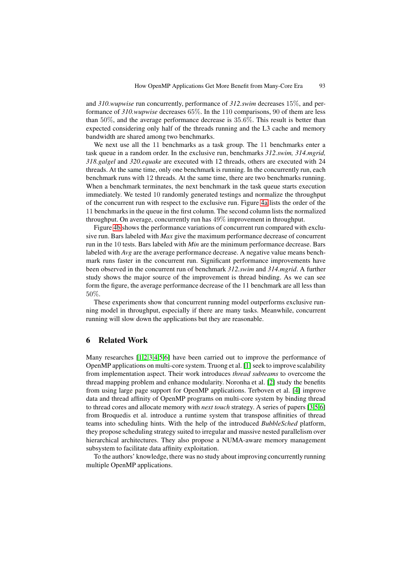and *310.wupwise* run concurrently, performance of *312.swim* decreases 15%, and performance of *310.wupwise* decreases 65%. In the 110 comparisons, 90 of them are less than 50%, and the average performance decrease is 35*.*6%. This result is better than expected considering only half of the threads running and the L3 cache and memory bandwidth are shared among two benchmarks.

We next use all the 11 benchmarks as a task group. The 11 benchmarks enter a task queue in a random order. In the exclusive run, benchmarks *312.swim, 314.mgrid, 318.galgel* and *320.equake* are executed with 12 threads, others are executed with 24 threads. At the same time, only one benchmark is running. In the concurrently run, each benchmark runs with 12 threads. At the same time, there are two benchmarks running. When a benchmark terminates, the next benchmark in the task queue starts execution immediately. We tested 10 randomly generated testings and normalize the throughput of the concurrent run with respect to the exclusive run. Figure 4a lists the order of the 11 benchmarks in the queue in the first column. The second column lists the normalized throughput. On average, concurrently run has 49% improvement in throughput.

Figure 4b shows the performance variations of concurrent run compared with exclusive run. Bars labeled with *Max* give the maximum performanc[e de](#page-9-2)crease of concurrent run in the 10 tests. Bars labeled with *Min* are the minimum performance decrease. Bars labeled with *Avg* are the average performance decrease. A negative value means benchmark run[s fa](#page-9-3)ster in the concurrent run. Significant performance improvements have been observed in the concurrent run of benchmark *312.swim* and *314.mgrid*. A further study shows the major source of the improvement is thread binding. As we can see form the figure, the average performance decrease of the 11 benchmark are all less than 50%.

These experiments show that concurrent running model outperforms exclusive running model in throughput, especially if there are many tasks. Meanwhile, concurrent running will slow down the applications but they are reasonable.

# **6 Related Work**

Many researches [1,2,3,4,5,6] have been carried out to improve the performance of OpenMP applications on multi-core system. Truong et al. [1] seek to improve scalability from implementation aspect. Their work introduces *thread subteams* to overcome the thread mapping problem and enhance modularity. Noronha et al. [2] study the benefits from using large [pa](#page-11-0)[ge](#page-11-1) [s](#page-11-2)[up](#page-11-3)[p](#page-11-4)[or](#page-11-5)t for OpenMP applications. Terboven et al. [4] improve data and thread affinity of OpenMP programs on multi-c[or](#page-11-0)e system by binding thread to thread cores and allocate memory with *next touch* strategy. A series of papers [3,5,6] from Broquedis et al. introduce a runtime system that transpos[e a](#page-11-1)ffinities of thread teams into scheduling hints. With the help of the introduced *BubbleSche[d](#page-11-3)* platform, they propose scheduling strategy suited to irregular and massive nested parallelism over hierarchical architectures. They also propose a NUMA-aware memory mana[ge](#page-11-2)[m](#page-11-4)[ent](#page-11-5) subsystem to facilitate data affinity exploitation.

To the authors' knowledge, there was no study about improving concurrently running multiple OpenMP applications.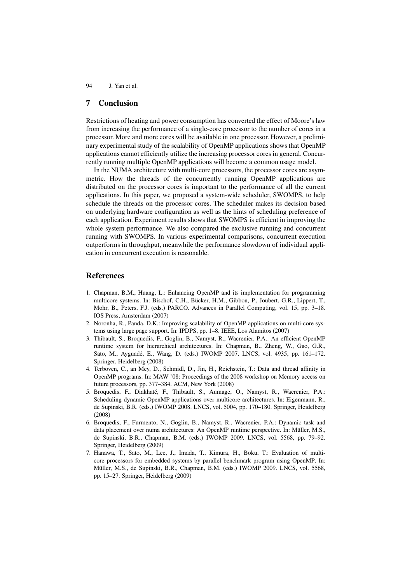# **7 Conclusion**

Restrictions of heating and power consumption has converted the effect of Moore's law from increasing the performance of a single-core processor to the number of cores in a processor. More and more cores will be available in one processor. However, a preliminary experimental study of the scalability of OpenMP applications shows that OpenMP applications cannot efficiently utilize the increasing processor cores in general. Concurrently running multiple OpenMP applications will become a common usage model.

In the NUMA architecture with multi-core processors, the processor cores are asymmetric. How the threads of the concurrently running OpenMP applications are distributed on the processor cores is important to the performance of all the current applications. In this paper, we proposed a system-wide scheduler, SWOMPS, to help schedule the threads on the processor cores. The scheduler makes its decision based on underlying hardware configuration as well as the hints of scheduling preference of each application. Experiment results shows that SWOMPS is efficient in improving the whole system performance. We also compared the exclusive running and concurrent running with SWOMPS. In various experimental comparisons, concurrent execution outperforms in throughput, meanwhile the performance slowdown of individual application in concurrent execution is reasonable.

# **References**

- <span id="page-11-0"></span>1. Chapman, B.M., Huang, L.: Enhancing OpenMP and its implementation for programming multicore systems. In: Bischof, C.H., Bücker, H.M., Gibbon, P., Joubert, G.R., Lippert, T., Mohr, B., Peters, F.J. (eds.) PARCO. Advances in Parallel Computing, vol. 15, pp. 3–18. IOS Press, Amsterdam (2007)
- <span id="page-11-1"></span>2. Noronha, R., Panda, D.K.: Improving scalability of OpenMP applications on multi-core systems using large page support. In: IPDPS, pp. 1–8. IEEE, Los Alamitos (2007)
- <span id="page-11-2"></span>3. Thibault, S., Broquedis, F., Goglin, B., Namyst, R., Wacrenier, P.A.: An efficient OpenMP runtime system for hierarchical architectures. In: Chapman, B., Zheng, W., Gao, G.R., Sato, M., Ayguadé, E., Wang, D. (eds.) IWOMP 2007. LNCS, vol. 4935, pp. 161–172. Springer, Heidelberg (2008)
- <span id="page-11-3"></span>4. Terboven, C., an Mey, D., Schmidl, D., Jin, H., Reichstein, T.: Data and thread affinity in OpenMP programs. In: MAW '08: Proceedings of the 2008 workshop on Memory access on future processors, pp. 377–384. ACM, New York (2008)
- <span id="page-11-4"></span>5. Broquedis, F., Diakhaté, F., Thibault, S., Aumage, O., Namyst, R., Wacrenier, P.A.: Scheduling dynamic OpenMP applications over multicore architectures. In: Eigenmann, R., de Supinski, B.R. (eds.) IWOMP 2008. LNCS, vol. 5004, pp. 170–180. Springer, Heidelberg (2008)
- <span id="page-11-5"></span>6. Broquedis, F., Furmento, N., Goglin, B., Namyst, R., Wacrenier, P.A.: Dynamic task and data placement over numa architectures: An OpenMP runtime perspective. In: Müller, M.S., de Supinski, B.R., Chapman, B.M. (eds.) IWOMP 2009. LNCS, vol. 5568, pp. 79–92. Springer, Heidelberg (2009)
- 7. Hanawa, T., Sato, M., Lee, J., Imada, T., Kimura, H., Boku, T.: Evaluation of multicore processors for embedded systems by parallel benchmark program using OpenMP. In: Müller, M.S., de Supinski, B.R., Chapman, B.M. (eds.) IWOMP 2009. LNCS, vol. 5568, pp. 15–27. Springer, Heidelberg (2009)